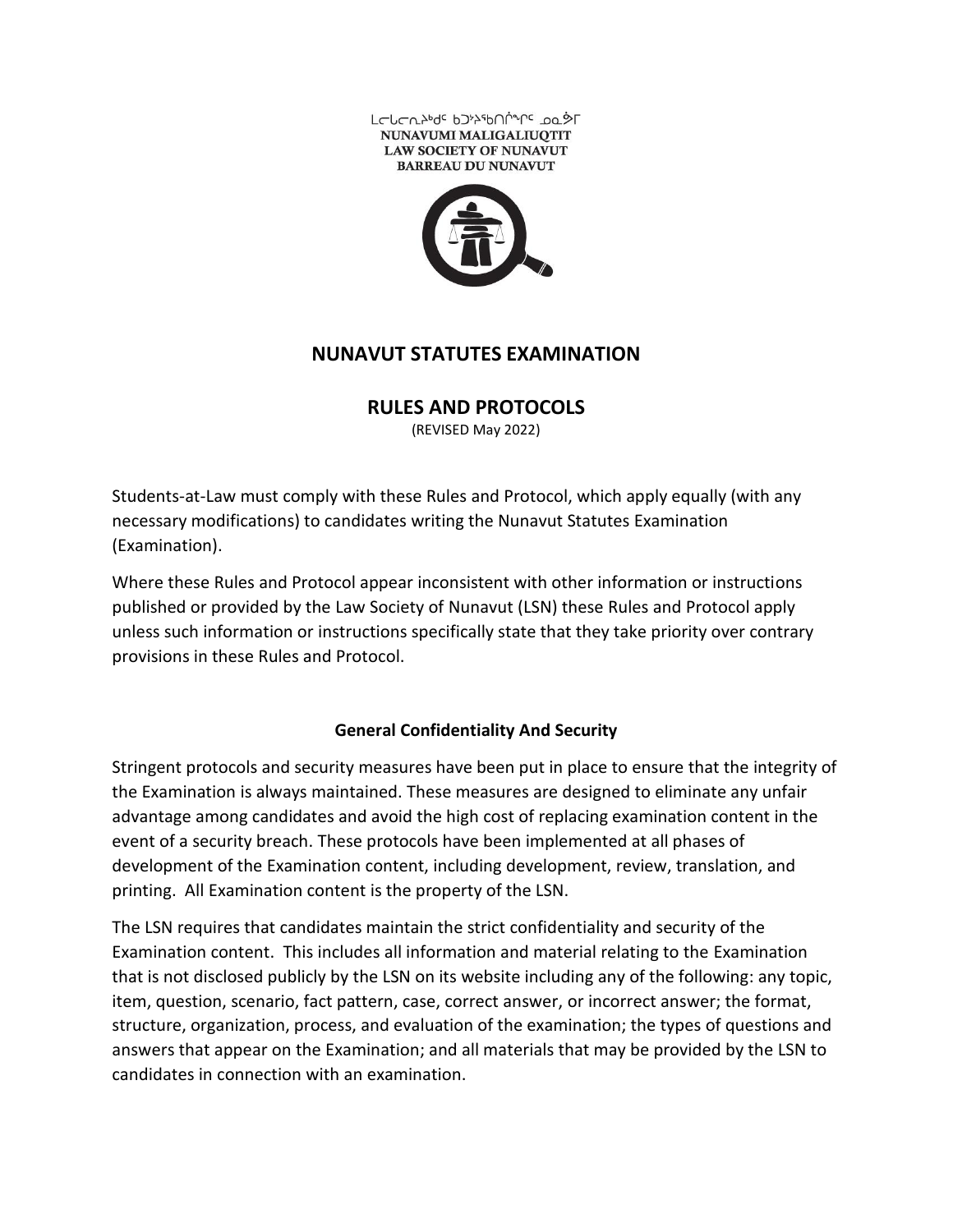



# **NUNAVUT STATUTES EXAMINATION**

**RULES AND PROTOCOLS** 

(REVISED May 2022)

Students-at-Law must comply with these Rules and Protocol, which apply equally (with any necessary modifications) to candidates writing the Nunavut Statutes Examination (Examination).

Where these Rules and Protocol appear inconsistent with other information or instructions published or provided by the Law Society of Nunavut (LSN) these Rules and Protocol apply unless such information or instructions specifically state that they take priority over contrary provisions in these Rules and Protocol.

### **General Confidentiality And Security**

Stringent protocols and security measures have been put in place to ensure that the integrity of the Examination is always maintained. These measures are designed to eliminate any unfair advantage among candidates and avoid the high cost of replacing examination content in the event of a security breach. These protocols have been implemented at all phases of development of the Examination content, including development, review, translation, and printing. All Examination content is the property of the LSN.

The LSN requires that candidates maintain the strict confidentiality and security of the Examination content. This includes all information and material relating to the Examination that is not disclosed publicly by the LSN on its website including any of the following: any topic, item, question, scenario, fact pattern, case, correct answer, or incorrect answer; the format, structure, organization, process, and evaluation of the examination; the types of questions and answers that appear on the Examination; and all materials that may be provided by the LSN to candidates in connection with an examination.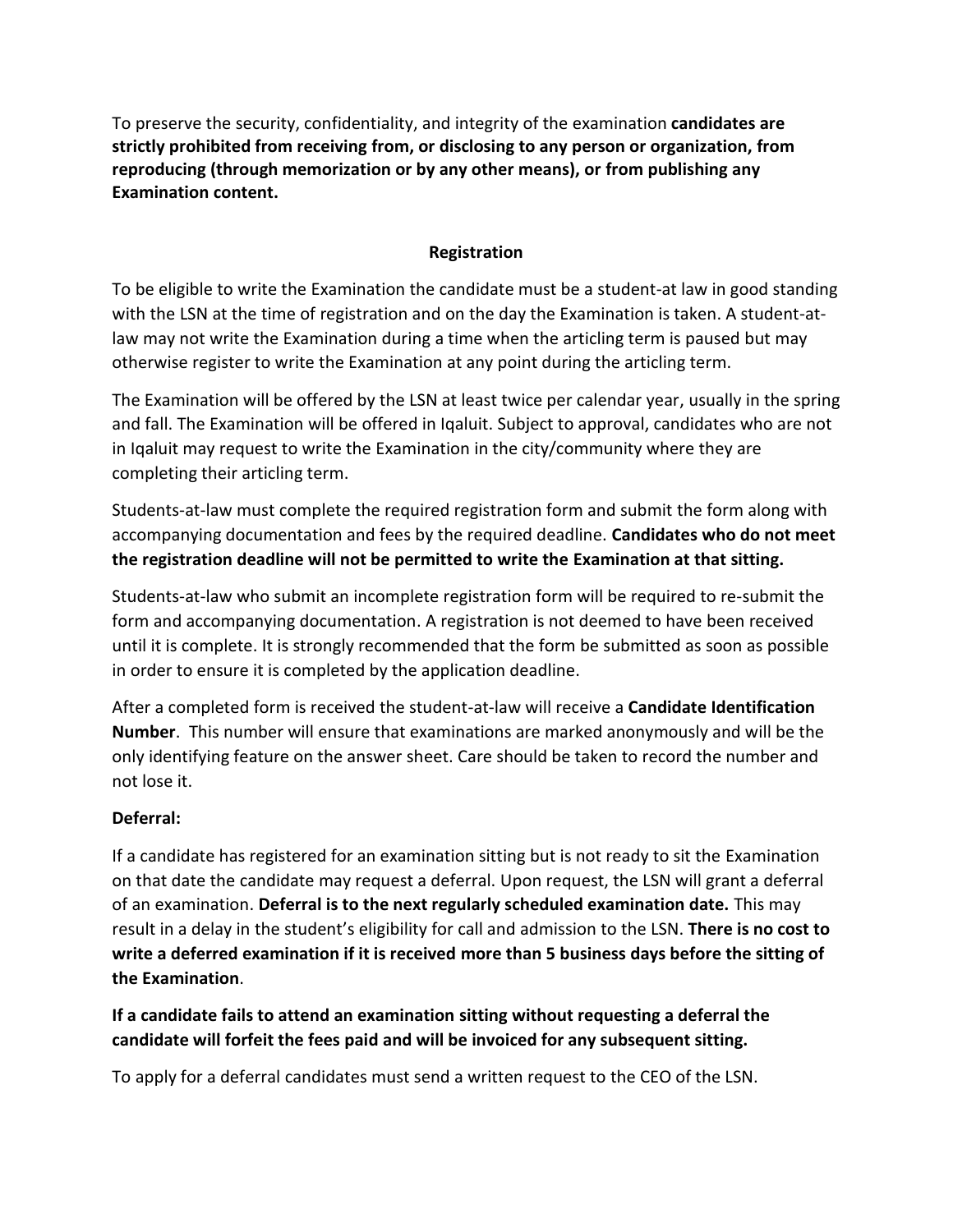To preserve the security, confidentiality, and integrity of the examination **candidates are strictly prohibited from receiving from, or disclosing to any person or organization, from reproducing (through memorization or by any other means), or from publishing any Examination content.**

#### **Registration**

To be eligible to write the Examination the candidate must be a student-at law in good standing with the LSN at the time of registration and on the day the Examination is taken. A student-atlaw may not write the Examination during a time when the articling term is paused but may otherwise register to write the Examination at any point during the articling term.

The Examination will be offered by the LSN at least twice per calendar year, usually in the spring and fall. The Examination will be offered in Iqaluit. Subject to approval, candidates who are not in Iqaluit may request to write the Examination in the city/community where they are completing their articling term.

Students-at-law must complete the required registration form and submit the form along with accompanying documentation and fees by the required deadline. **Candidates who do not meet the registration deadline will not be permitted to write the Examination at that sitting.**

Students-at-law who submit an incomplete registration form will be required to re-submit the form and accompanying documentation. A registration is not deemed to have been received until it is complete. It is strongly recommended that the form be submitted as soon as possible in order to ensure it is completed by the application deadline.

After a completed form is received the student-at-law will receive a **Candidate Identification Number**. This number will ensure that examinations are marked anonymously and will be the only identifying feature on the answer sheet. Care should be taken to record the number and not lose it.

### **Deferral:**

If a candidate has registered for an examination sitting but is not ready to sit the Examination on that date the candidate may request a deferral. Upon request, the LSN will grant a deferral of an examination. **Deferral is to the next regularly scheduled examination date.** This may result in a delay in the student's eligibility for call and admission to the LSN. **There is no cost to write a deferred examination if it is received more than 5 business days before the sitting of the Examination**.

**If a candidate fails to attend an examination sitting without requesting a deferral the candidate will forfeit the fees paid and will be invoiced for any subsequent sitting.** 

To apply for a deferral candidates must send a written request to the CEO of the LSN.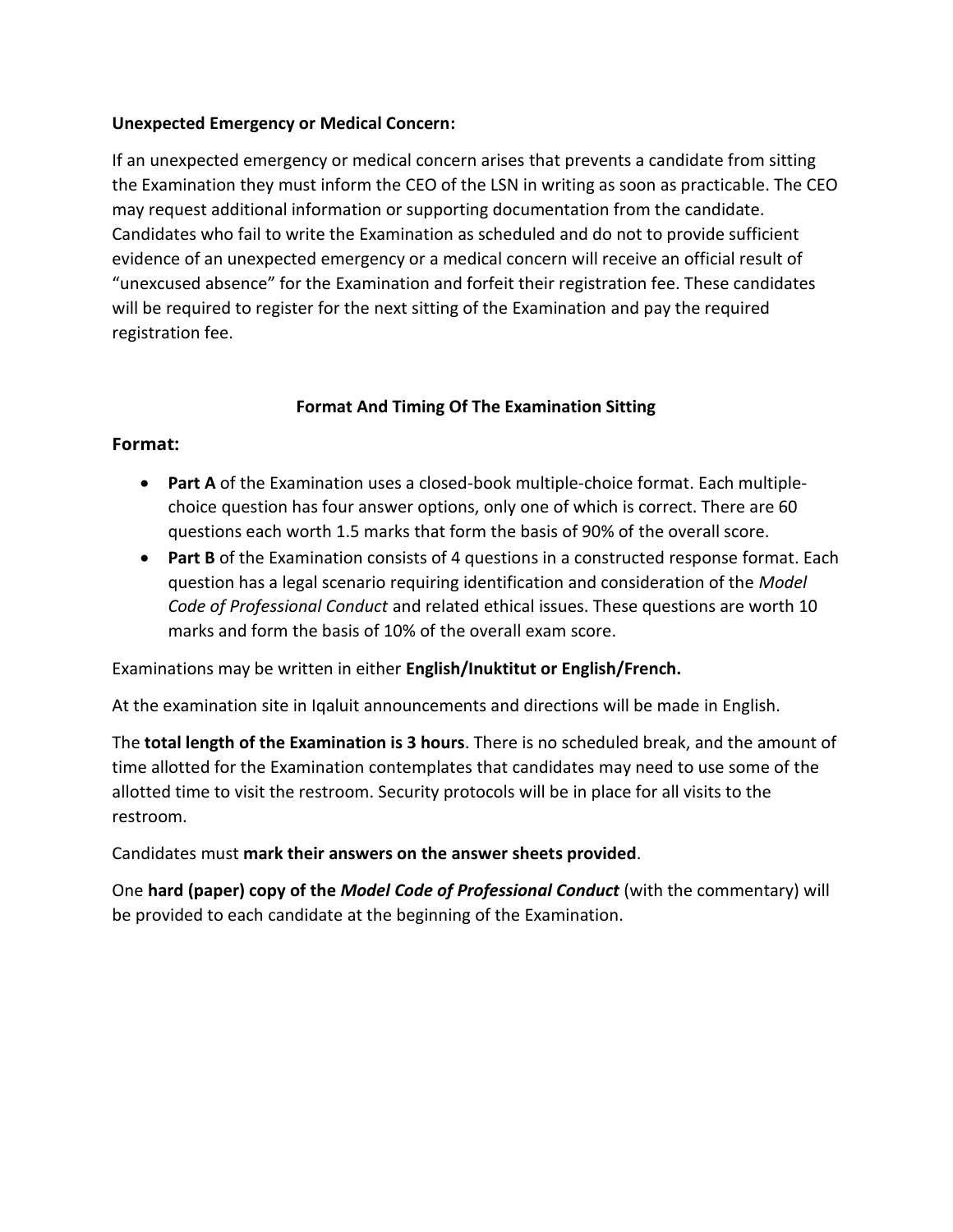#### **Unexpected Emergency or Medical Concern:**

If an unexpected emergency or medical concern arises that prevents a candidate from sitting the Examination they must inform the CEO of the LSN in writing as soon as practicable. The CEO may request additional information or supporting documentation from the candidate. Candidates who fail to write the Examination as scheduled and do not to provide sufficient evidence of an unexpected emergency or a medical concern will receive an official result of "unexcused absence" for the Examination and forfeit their registration fee. These candidates will be required to register for the next sitting of the Examination and pay the required registration fee.

### **Format And Timing Of The Examination Sitting**

### **Format:**

- **Part A** of the Examination uses a closed-book multiple-choice format. Each multiplechoice question has four answer options, only one of which is correct. There are 60 questions each worth 1.5 marks that form the basis of 90% of the overall score.
- **Part B** of the Examination consists of 4 questions in a constructed response format. Each question has a legal scenario requiring identification and consideration of the *Model Code of Professional Conduct* and related ethical issues. These questions are worth 10 marks and form the basis of 10% of the overall exam score.

Examinations may be written in either **English/Inuktitut or English/French.** 

At the examination site in Iqaluit announcements and directions will be made in English.

The **total length of the Examination is 3 hours**. There is no scheduled break, and the amount of time allotted for the Examination contemplates that candidates may need to use some of the allotted time to visit the restroom. Security protocols will be in place for all visits to the restroom.

Candidates must **mark their answers on the answer sheets provided**.

One **hard (paper) copy of the** *Model Code of Professional Conduct* (with the commentary) will be provided to each candidate at the beginning of the Examination.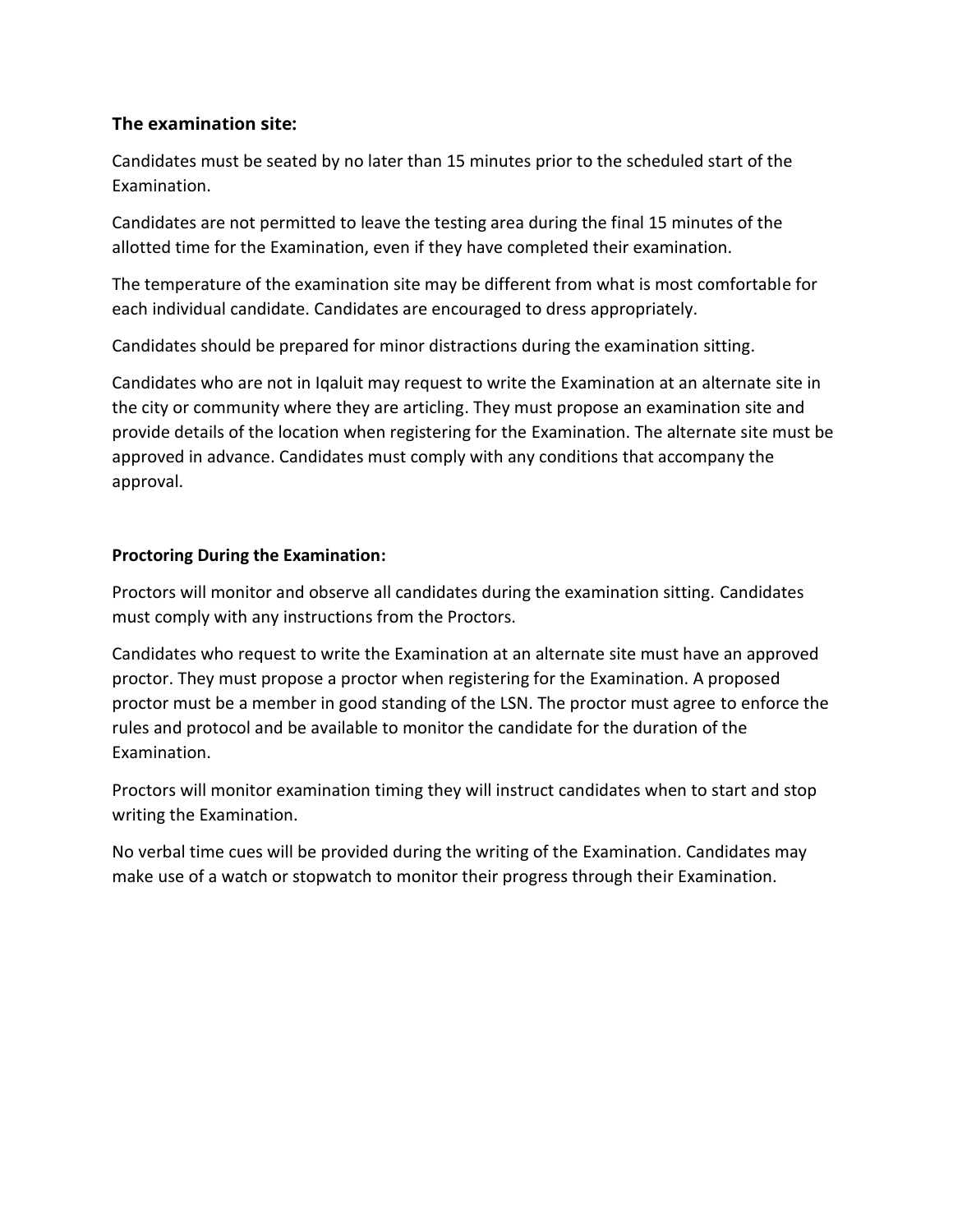# **The examination site:**

Candidates must be seated by no later than 15 minutes prior to the scheduled start of the Examination.

Candidates are not permitted to leave the testing area during the final 15 minutes of the allotted time for the Examination, even if they have completed their examination.

The temperature of the examination site may be different from what is most comfortable for each individual candidate. Candidates are encouraged to dress appropriately.

Candidates should be prepared for minor distractions during the examination sitting.

Candidates who are not in Iqaluit may request to write the Examination at an alternate site in the city or community where they are articling. They must propose an examination site and provide details of the location when registering for the Examination. The alternate site must be approved in advance. Candidates must comply with any conditions that accompany the approval.

### **Proctoring During the Examination:**

Proctors will monitor and observe all candidates during the examination sitting. Candidates must comply with any instructions from the Proctors.

Candidates who request to write the Examination at an alternate site must have an approved proctor. They must propose a proctor when registering for the Examination. A proposed proctor must be a member in good standing of the LSN. The proctor must agree to enforce the rules and protocol and be available to monitor the candidate for the duration of the Examination.

Proctors will monitor examination timing they will instruct candidates when to start and stop writing the Examination.

No verbal time cues will be provided during the writing of the Examination. Candidates may make use of a watch or stopwatch to monitor their progress through their Examination.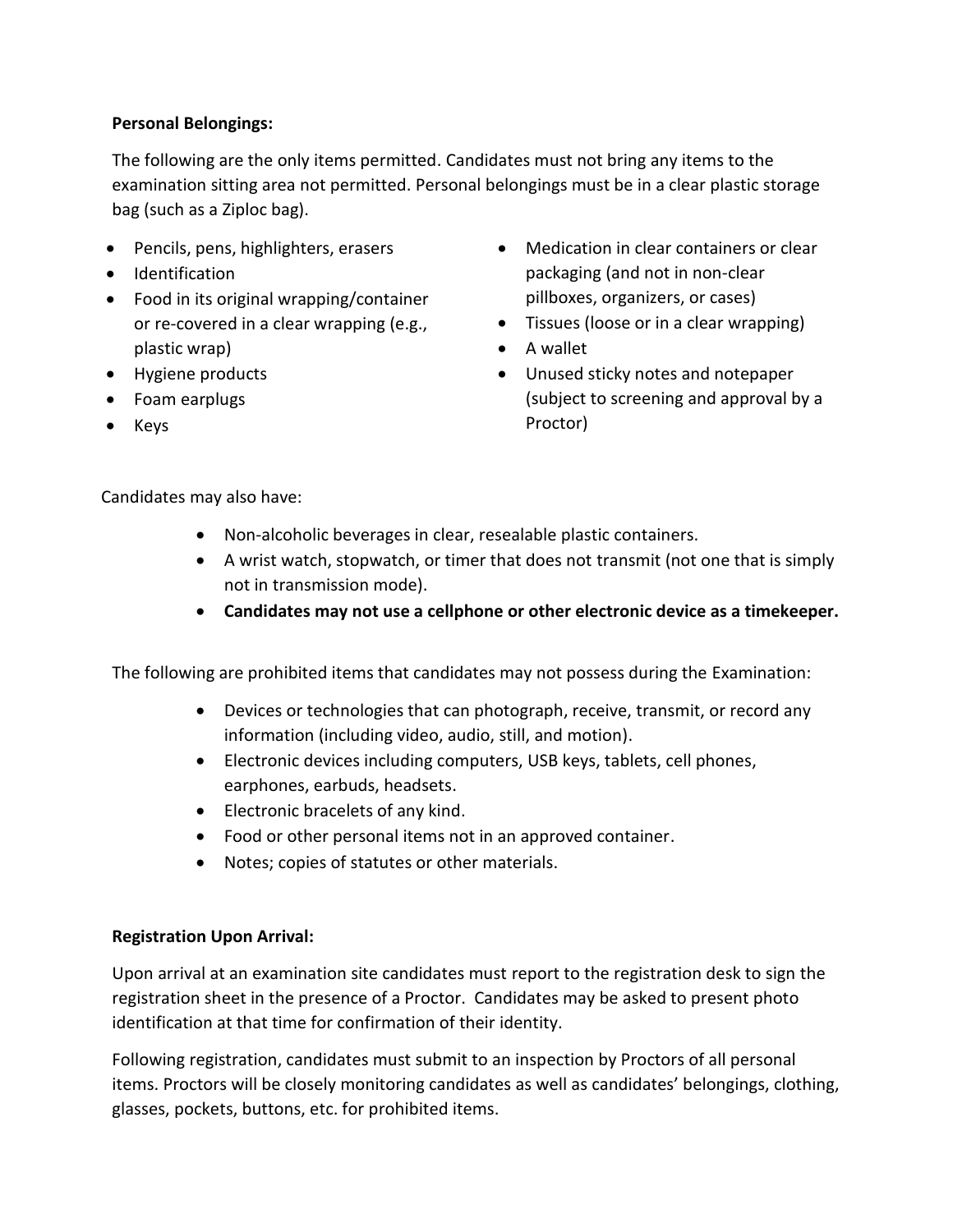# **Personal Belongings:**

The following are the only items permitted. Candidates must not bring any items to the examination sitting area not permitted. Personal belongings must be in a clear plastic storage bag (such as a Ziploc bag).

- Pencils, pens, highlighters, erasers
- Identification
- Food in its original wrapping/container or re-covered in a clear wrapping (e.g., plastic wrap)
- Hygiene products
- Foam earplugs
- Keys
- Medication in clear containers or clear packaging (and not in non-clear pillboxes, organizers, or cases)
- Tissues (loose or in a clear wrapping)
- A wallet
- Unused sticky notes and notepaper (subject to screening and approval by a Proctor)

Candidates may also have:

- Non-alcoholic beverages in clear, resealable plastic containers.
- A wrist watch, stopwatch, or timer that does not transmit (not one that is simply not in transmission mode).
- **Candidates may not use a cellphone or other electronic device as a timekeeper.**

The following are prohibited items that candidates may not possess during the Examination:

- Devices or technologies that can photograph, receive, transmit, or record any information (including video, audio, still, and motion).
- Electronic devices including computers, USB keys, tablets, cell phones, earphones, earbuds, headsets.
- Electronic bracelets of any kind.
- Food or other personal items not in an approved container.
- Notes; copies of statutes or other materials.

### **Registration Upon Arrival:**

Upon arrival at an examination site candidates must report to the registration desk to sign the registration sheet in the presence of a Proctor. Candidates may be asked to present photo identification at that time for confirmation of their identity.

Following registration, candidates must submit to an inspection by Proctors of all personal items. Proctors will be closely monitoring candidates as well as candidates' belongings, clothing, glasses, pockets, buttons, etc. for prohibited items.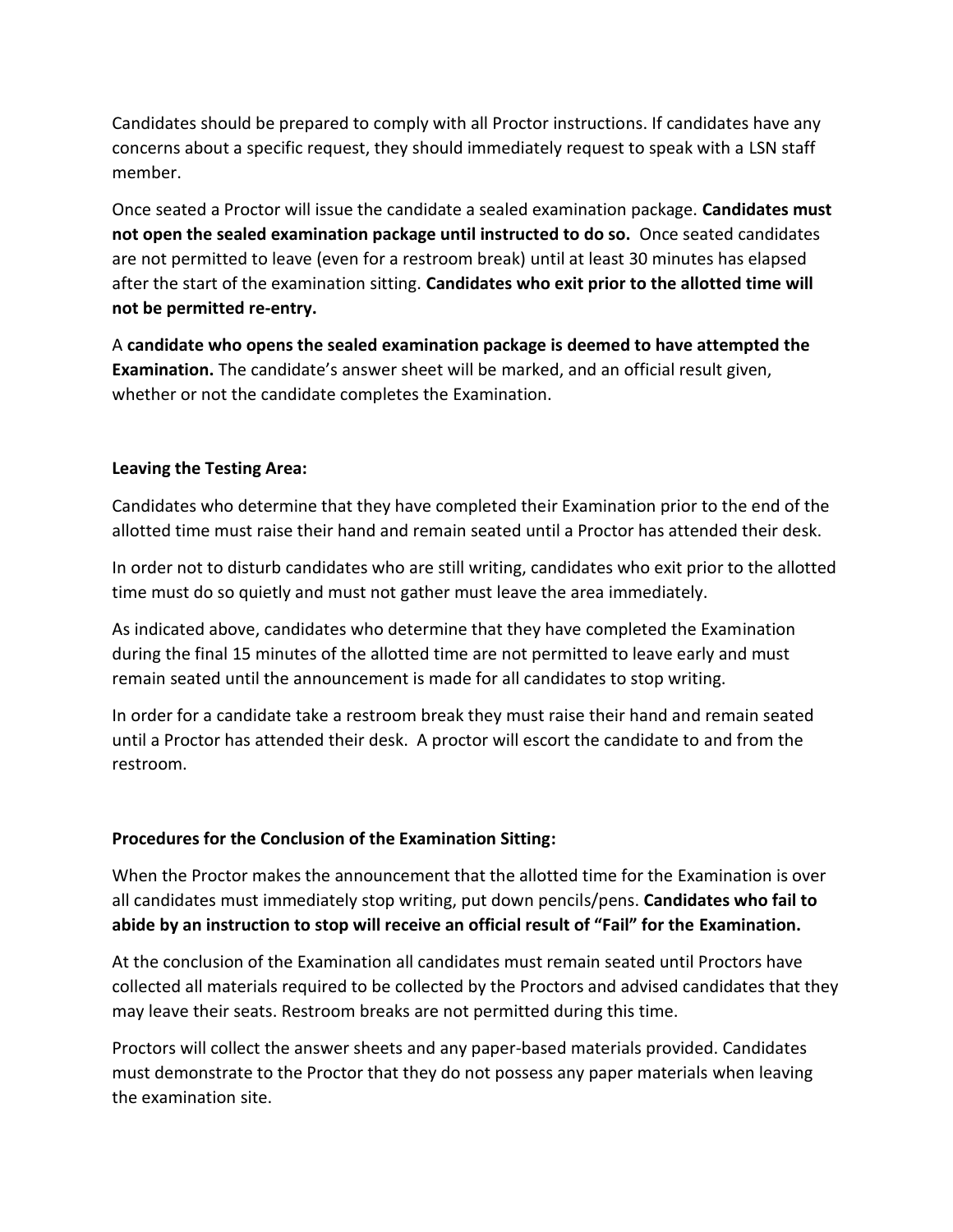Candidates should be prepared to comply with all Proctor instructions. If candidates have any concerns about a specific request, they should immediately request to speak with a LSN staff member.

Once seated a Proctor will issue the candidate a sealed examination package. **Candidates must not open the sealed examination package until instructed to do so.** Once seated candidates are not permitted to leave (even for a restroom break) until at least 30 minutes has elapsed after the start of the examination sitting. **Candidates who exit prior to the allotted time will not be permitted re-entry.**

A **candidate who opens the sealed examination package is deemed to have attempted the Examination.** The candidate's answer sheet will be marked, and an official result given, whether or not the candidate completes the Examination.

#### **Leaving the Testing Area:**

Candidates who determine that they have completed their Examination prior to the end of the allotted time must raise their hand and remain seated until a Proctor has attended their desk.

In order not to disturb candidates who are still writing, candidates who exit prior to the allotted time must do so quietly and must not gather must leave the area immediately.

As indicated above, candidates who determine that they have completed the Examination during the final 15 minutes of the allotted time are not permitted to leave early and must remain seated until the announcement is made for all candidates to stop writing.

In order for a candidate take a restroom break they must raise their hand and remain seated until a Proctor has attended their desk. A proctor will escort the candidate to and from the restroom.

### **Procedures for the Conclusion of the Examination Sitting:**

When the Proctor makes the announcement that the allotted time for the Examination is over all candidates must immediately stop writing, put down pencils/pens. **Candidates who fail to abide by an instruction to stop will receive an official result of "Fail" for the Examination.**

At the conclusion of the Examination all candidates must remain seated until Proctors have collected all materials required to be collected by the Proctors and advised candidates that they may leave their seats. Restroom breaks are not permitted during this time.

Proctors will collect the answer sheets and any paper-based materials provided. Candidates must demonstrate to the Proctor that they do not possess any paper materials when leaving the examination site.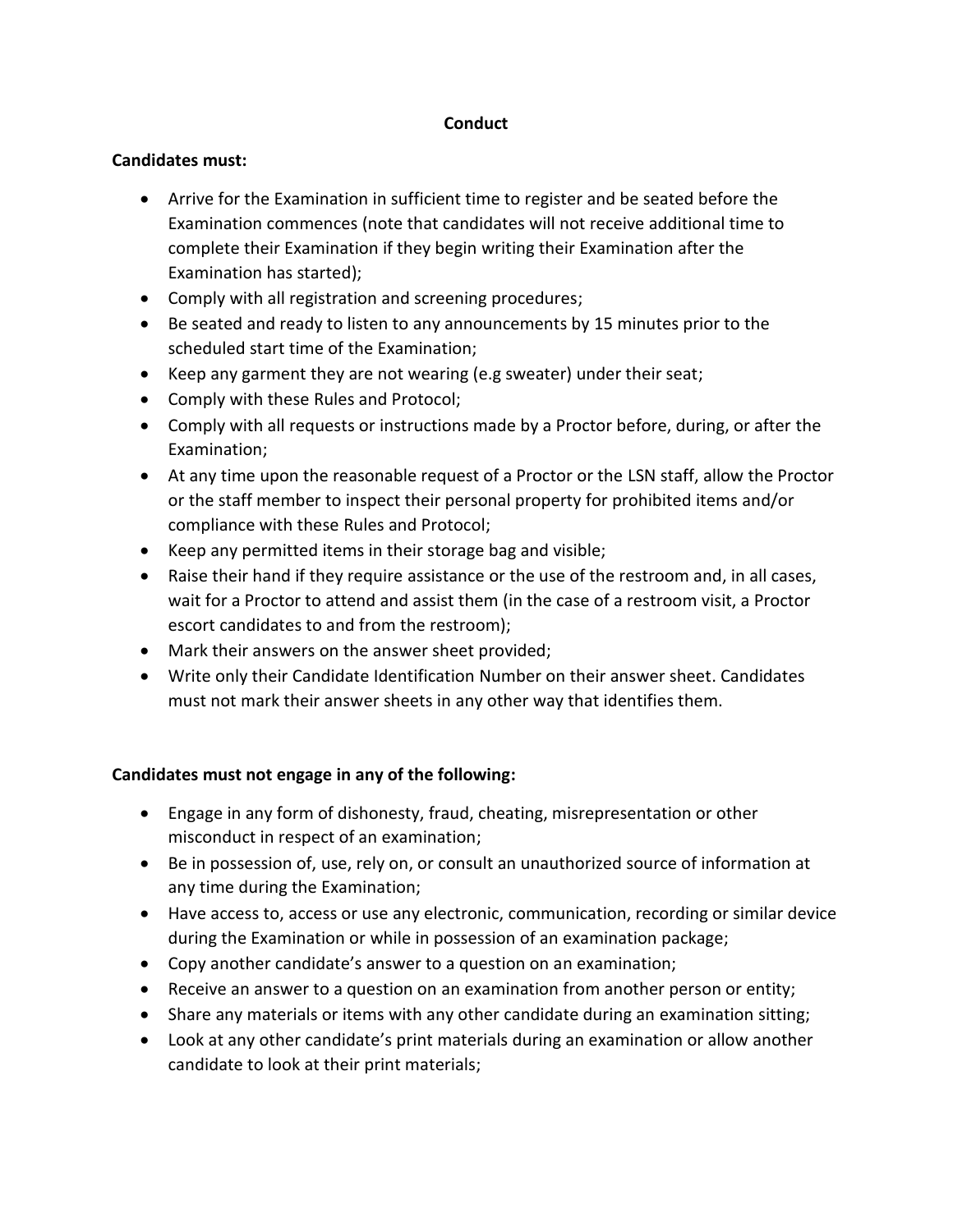#### **Conduct**

#### **Candidates must:**

- Arrive for the Examination in sufficient time to register and be seated before the Examination commences (note that candidates will not receive additional time to complete their Examination if they begin writing their Examination after the Examination has started);
- Comply with all registration and screening procedures;
- Be seated and ready to listen to any announcements by 15 minutes prior to the scheduled start time of the Examination;
- Keep any garment they are not wearing (e.g sweater) under their seat;
- Comply with these Rules and Protocol;
- Comply with all requests or instructions made by a Proctor before, during, or after the Examination;
- At any time upon the reasonable request of a Proctor or the LSN staff, allow the Proctor or the staff member to inspect their personal property for prohibited items and/or compliance with these Rules and Protocol;
- Keep any permitted items in their storage bag and visible;
- Raise their hand if they require assistance or the use of the restroom and, in all cases, wait for a Proctor to attend and assist them (in the case of a restroom visit, a Proctor escort candidates to and from the restroom);
- Mark their answers on the answer sheet provided;
- Write only their Candidate Identification Number on their answer sheet. Candidates must not mark their answer sheets in any other way that identifies them.

### **Candidates must not engage in any of the following:**

- Engage in any form of dishonesty, fraud, cheating, misrepresentation or other misconduct in respect of an examination;
- Be in possession of, use, rely on, or consult an unauthorized source of information at any time during the Examination;
- Have access to, access or use any electronic, communication, recording or similar device during the Examination or while in possession of an examination package;
- Copy another candidate's answer to a question on an examination;
- Receive an answer to a question on an examination from another person or entity;
- Share any materials or items with any other candidate during an examination sitting;
- Look at any other candidate's print materials during an examination or allow another candidate to look at their print materials;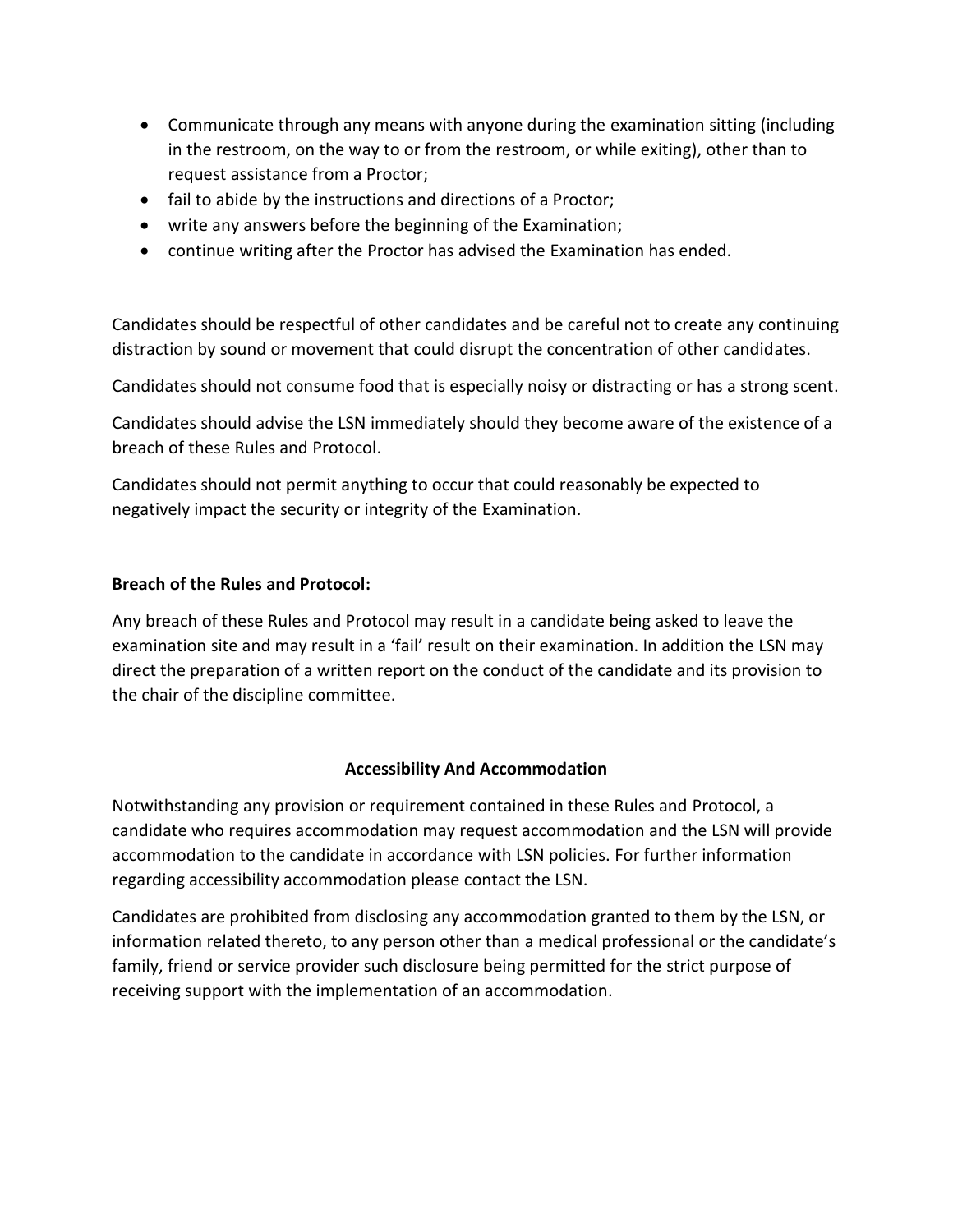- Communicate through any means with anyone during the examination sitting (including in the restroom, on the way to or from the restroom, or while exiting), other than to request assistance from a Proctor;
- fail to abide by the instructions and directions of a Proctor;
- write any answers before the beginning of the Examination;
- continue writing after the Proctor has advised the Examination has ended.

Candidates should be respectful of other candidates and be careful not to create any continuing distraction by sound or movement that could disrupt the concentration of other candidates.

Candidates should not consume food that is especially noisy or distracting or has a strong scent.

Candidates should advise the LSN immediately should they become aware of the existence of a breach of these Rules and Protocol.

Candidates should not permit anything to occur that could reasonably be expected to negatively impact the security or integrity of the Examination.

#### **Breach of the Rules and Protocol:**

Any breach of these Rules and Protocol may result in a candidate being asked to leave the examination site and may result in a 'fail' result on their examination. In addition the LSN may direct the preparation of a written report on the conduct of the candidate and its provision to the chair of the discipline committee.

#### **Accessibility And Accommodation**

Notwithstanding any provision or requirement contained in these Rules and Protocol, a candidate who requires accommodation may request accommodation and the LSN will provide accommodation to the candidate in accordance with LSN policies. For further information regarding accessibility accommodation please contact the LSN.

Candidates are prohibited from disclosing any accommodation granted to them by the LSN, or information related thereto, to any person other than a medical professional or the candidate's family, friend or service provider such disclosure being permitted for the strict purpose of receiving support with the implementation of an accommodation.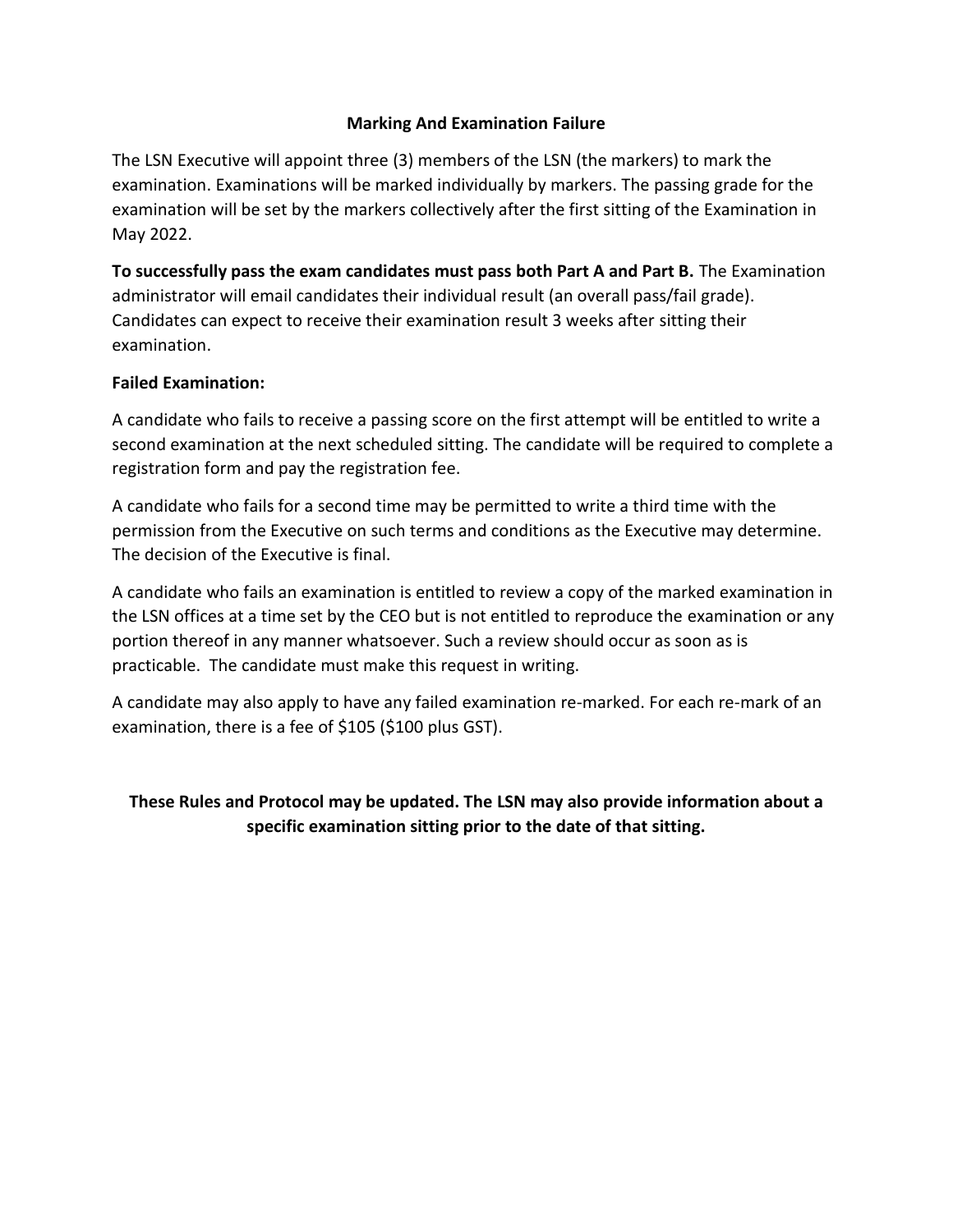#### **Marking And Examination Failure**

The LSN Executive will appoint three (3) members of the LSN (the markers) to mark the examination. Examinations will be marked individually by markers. The passing grade for the examination will be set by the markers collectively after the first sitting of the Examination in May 2022.

**To successfully pass the exam candidates must pass both Part A and Part B.** The Examination administrator will email candidates their individual result (an overall pass/fail grade). Candidates can expect to receive their examination result 3 weeks after sitting their examination.

#### **Failed Examination:**

A candidate who fails to receive a passing score on the first attempt will be entitled to write a second examination at the next scheduled sitting. The candidate will be required to complete a registration form and pay the registration fee.

A candidate who fails for a second time may be permitted to write a third time with the permission from the Executive on such terms and conditions as the Executive may determine. The decision of the Executive is final.

A candidate who fails an examination is entitled to review a copy of the marked examination in the LSN offices at a time set by the CEO but is not entitled to reproduce the examination or any portion thereof in any manner whatsoever. Such a review should occur as soon as is practicable. The candidate must make this request in writing.

A candidate may also apply to have any failed examination re-marked. For each re-mark of an examination, there is a fee of \$105 (\$100 plus GST).

**These Rules and Protocol may be updated. The LSN may also provide information about a specific examination sitting prior to the date of that sitting.**